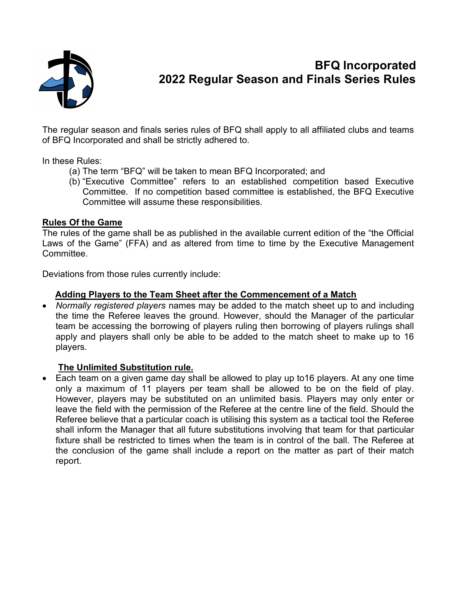

# BFQ Incorporated 2022 Regular Season and Finals Series Rules

The regular season and finals series rules of BFQ shall apply to all affiliated clubs and teams of BFQ Incorporated and shall be strictly adhered to.

In these Rules:

- (a) The term "BFQ" will be taken to mean BFQ Incorporated; and
- (b) "Executive Committee" refers to an established competition based Executive Committee. If no competition based committee is established, the BFQ Executive Committee will assume these responsibilities.

#### Rules Of the Game

The rules of the game shall be as published in the available current edition of the "the Official Laws of the Game" (FFA) and as altered from time to time by the Executive Management Committee.

Deviations from those rules currently include:

#### Adding Players to the Team Sheet after the Commencement of a Match

• Normally registered players names may be added to the match sheet up to and including the time the Referee leaves the ground. However, should the Manager of the particular team be accessing the borrowing of players ruling then borrowing of players rulings shall apply and players shall only be able to be added to the match sheet to make up to 16 players.

#### The Unlimited Substitution rule.

 Each team on a given game day shall be allowed to play up to16 players. At any one time only a maximum of 11 players per team shall be allowed to be on the field of play. However, players may be substituted on an unlimited basis. Players may only enter or leave the field with the permission of the Referee at the centre line of the field. Should the Referee believe that a particular coach is utilising this system as a tactical tool the Referee shall inform the Manager that all future substitutions involving that team for that particular fixture shall be restricted to times when the team is in control of the ball. The Referee at the conclusion of the game shall include a report on the matter as part of their match report.  $\mathcal{L}^{\mathcal{L}}$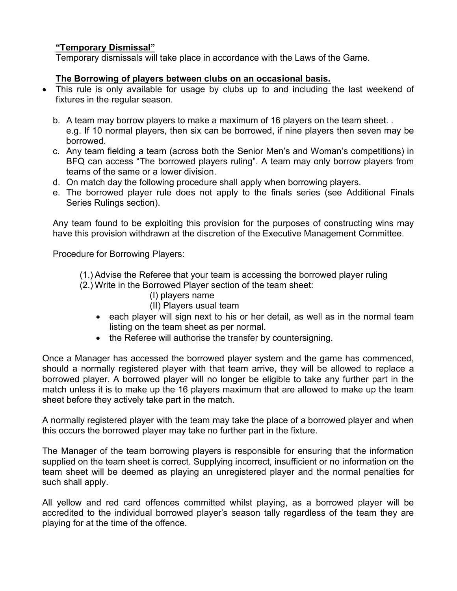#### "Temporary Dismissal"

Temporary dismissals will take place in accordance with the Laws of the Game.

#### The Borrowing of players between clubs on an occasional basis.

- This rule is only available for usage by clubs up to and including the last weekend of fixtures in the regular season.
	- b. A team may borrow players to make a maximum of 16 players on the team sheet. . e.g. If 10 normal players, then six can be borrowed, if nine players then seven may be borrowed.
	- c. Any team fielding a team (across both the Senior Men's and Woman's competitions) in BFQ can access "The borrowed players ruling". A team may only borrow players from teams of the same or a lower division.
	- d. On match day the following procedure shall apply when borrowing players.
	- e. The borrowed player rule does not apply to the finals series (see Additional Finals Series Rulings section).

Any team found to be exploiting this provision for the purposes of constructing wins may have this provision withdrawn at the discretion of the Executive Management Committee.

Procedure for Borrowing Players:

- (1.) Advise the Referee that your team is accessing the borrowed player ruling
- (2.) Write in the Borrowed Player section of the team sheet:
	- (I) players name
	- (II) Players usual team
	- each player will sign next to his or her detail, as well as in the normal team listing on the team sheet as per normal.
	- the Referee will authorise the transfer by countersigning.

Once a Manager has accessed the borrowed player system and the game has commenced, should a normally registered player with that team arrive, they will be allowed to replace a borrowed player. A borrowed player will no longer be eligible to take any further part in the match unless it is to make up the 16 players maximum that are allowed to make up the team sheet before they actively take part in the match.

A normally registered player with the team may take the place of a borrowed player and when this occurs the borrowed player may take no further part in the fixture.

The Manager of the team borrowing players is responsible for ensuring that the information supplied on the team sheet is correct. Supplying incorrect, insufficient or no information on the team sheet will be deemed as playing an unregistered player and the normal penalties for such shall apply.

All yellow and red card offences committed whilst playing, as a borrowed player will be accredited to the individual borrowed player's season tally regardless of the team they are playing for at the time of the offence.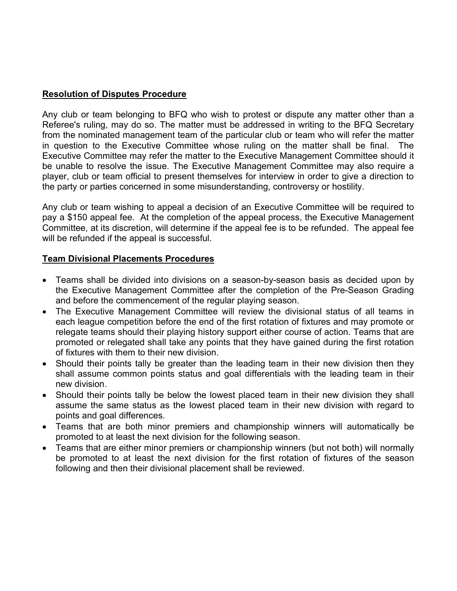# Resolution of Disputes Procedure

Any club or team belonging to BFQ who wish to protest or dispute any matter other than a Referee's ruling, may do so. The matter must be addressed in writing to the BFQ Secretary from the nominated management team of the particular club or team who will refer the matter in question to the Executive Committee whose ruling on the matter shall be final. The Executive Committee may refer the matter to the Executive Management Committee should it be unable to resolve the issue. The Executive Management Committee may also require a player, club or team official to present themselves for interview in order to give a direction to the party or parties concerned in some misunderstanding, controversy or hostility.

Any club or team wishing to appeal a decision of an Executive Committee will be required to pay a \$150 appeal fee. At the completion of the appeal process, the Executive Management Committee, at its discretion, will determine if the appeal fee is to be refunded. The appeal fee will be refunded if the appeal is successful.

#### Team Divisional Placements Procedures

- Teams shall be divided into divisions on a season-by-season basis as decided upon by the Executive Management Committee after the completion of the Pre-Season Grading and before the commencement of the regular playing season.
- The Executive Management Committee will review the divisional status of all teams in each league competition before the end of the first rotation of fixtures and may promote or relegate teams should their playing history support either course of action. Teams that are promoted or relegated shall take any points that they have gained during the first rotation of fixtures with them to their new division.
- Should their points tally be greater than the leading team in their new division then they shall assume common points status and goal differentials with the leading team in their new division.
- Should their points tally be below the lowest placed team in their new division they shall assume the same status as the lowest placed team in their new division with regard to points and goal differences.
- Teams that are both minor premiers and championship winners will automatically be promoted to at least the next division for the following season.
- Teams that are either minor premiers or championship winners (but not both) will normally be promoted to at least the next division for the first rotation of fixtures of the season following and then their divisional placement shall be reviewed.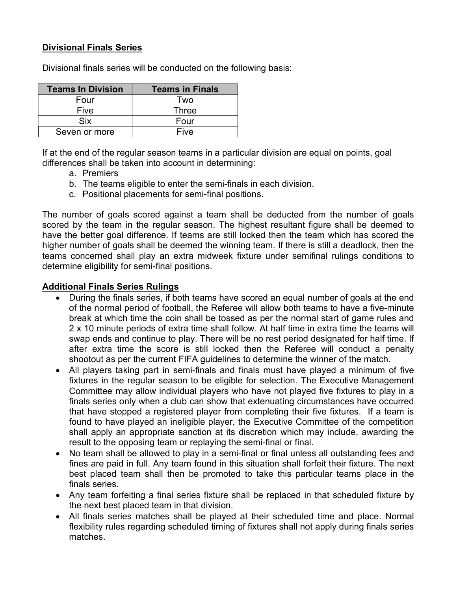#### Divisional Finals Series

| <b>Teams In Division</b> | <b>Teams in Finals</b> |  |  |
|--------------------------|------------------------|--|--|
| Four                     | Two                    |  |  |
| Five                     | Three                  |  |  |
| Six                      | Four                   |  |  |
| Seven or more            | Five                   |  |  |

Divisional finals series will be conducted on the following basis:

If at the end of the regular season teams in a particular division are equal on points, goal differences shall be taken into account in determining:

- a. Premiers
- b. The teams eligible to enter the semi-finals in each division.
- c. Positional placements for semi-final positions.

The number of goals scored against a team shall be deducted from the number of goals scored by the team in the regular season. The highest resultant figure shall be deemed to have the better goal difference. If teams are still locked then the team which has scored the higher number of goals shall be deemed the winning team. If there is still a deadlock, then the teams concerned shall play an extra midweek fixture under semifinal rulings conditions to determine eligibility for semi-final positions.

#### Additional Finals Series Rulings

- During the finals series, if both teams have scored an equal number of goals at the end of the normal period of football, the Referee will allow both teams to have a five-minute break at which time the coin shall be tossed as per the normal start of game rules and 2 x 10 minute periods of extra time shall follow. At half time in extra time the teams will swap ends and continue to play. There will be no rest period designated for half time. If after extra time the score is still locked then the Referee will conduct a penalty shootout as per the current FIFA guidelines to determine the winner of the match.
- All players taking part in semi-finals and finals must have played a minimum of five fixtures in the regular season to be eligible for selection. The Executive Management Committee may allow individual players who have not played five fixtures to play in a finals series only when a club can show that extenuating circumstances have occurred that have stopped a registered player from completing their five fixtures. If a team is found to have played an ineligible player, the Executive Committee of the competition shall apply an appropriate sanction at its discretion which may include, awarding the result to the opposing team or replaying the semi-final or final.
- No team shall be allowed to play in a semi-final or final unless all outstanding fees and fines are paid in full. Any team found in this situation shall forfeit their fixture. The next best placed team shall then be promoted to take this particular teams place in the finals series.
- Any team forfeiting a final series fixture shall be replaced in that scheduled fixture by the next best placed team in that division.
- All finals series matches shall be played at their scheduled time and place. Normal flexibility rules regarding scheduled timing of fixtures shall not apply during finals series matches.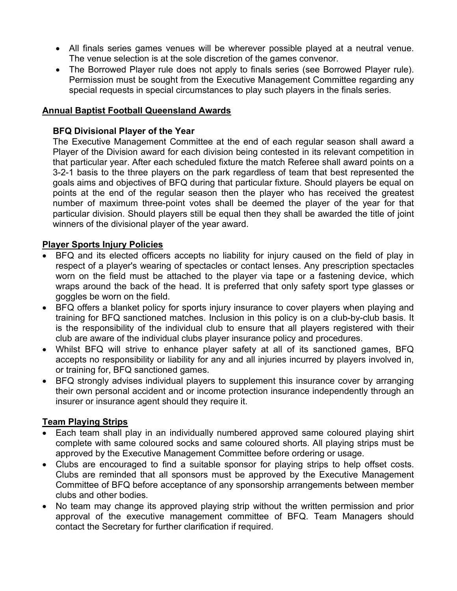- All finals series games venues will be wherever possible played at a neutral venue. The venue selection is at the sole discretion of the games convenor.
- The Borrowed Player rule does not apply to finals series (see Borrowed Player rule). Permission must be sought from the Executive Management Committee regarding any special requests in special circumstances to play such players in the finals series.

#### Annual Baptist Football Queensland Awards

#### BFQ Divisional Player of the Year

The Executive Management Committee at the end of each regular season shall award a Player of the Division award for each division being contested in its relevant competition in that particular year. After each scheduled fixture the match Referee shall award points on a 3-2-1 basis to the three players on the park regardless of team that best represented the goals aims and objectives of BFQ during that particular fixture. Should players be equal on points at the end of the regular season then the player who has received the greatest number of maximum three-point votes shall be deemed the player of the year for that particular division. Should players still be equal then they shall be awarded the title of joint winners of the divisional player of the year award.

#### Player Sports Injury Policies

- BFQ and its elected officers accepts no liability for injury caused on the field of play in respect of a player's wearing of spectacles or contact lenses. Any prescription spectacles worn on the field must be attached to the player via tape or a fastening device, which wraps around the back of the head. It is preferred that only safety sport type glasses or goggles be worn on the field.
- BFQ offers a blanket policy for sports injury insurance to cover players when playing and training for BFQ sanctioned matches. Inclusion in this policy is on a club-by-club basis. It is the responsibility of the individual club to ensure that all players registered with their club are aware of the individual clubs player insurance policy and procedures.
- Whilst BFQ will strive to enhance player safety at all of its sanctioned games, BFQ accepts no responsibility or liability for any and all injuries incurred by players involved in, or training for, BFQ sanctioned games.
- BFQ strongly advises individual players to supplement this insurance cover by arranging their own personal accident and or income protection insurance independently through an insurer or insurance agent should they require it.

# Team Playing Strips

- Each team shall play in an individually numbered approved same coloured playing shirt complete with same coloured socks and same coloured shorts. All playing strips must be approved by the Executive Management Committee before ordering or usage.
- Clubs are encouraged to find a suitable sponsor for playing strips to help offset costs. Clubs are reminded that all sponsors must be approved by the Executive Management Committee of BFQ before acceptance of any sponsorship arrangements between member clubs and other bodies.
- No team may change its approved playing strip without the written permission and prior approval of the executive management committee of BFQ. Team Managers should contact the Secretary for further clarification if required.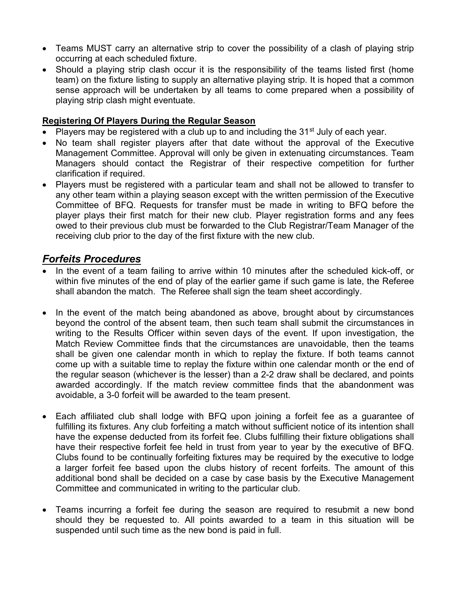- Teams MUST carry an alternative strip to cover the possibility of a clash of playing strip occurring at each scheduled fixture.
- Should a playing strip clash occur it is the responsibility of the teams listed first (home team) on the fixture listing to supply an alternative playing strip. It is hoped that a common sense approach will be undertaken by all teams to come prepared when a possibility of playing strip clash might eventuate.

#### Registering Of Players During the Regular Season

- Players may be registered with a club up to and including the 31<sup>st</sup> July of each year.
- No team shall register players after that date without the approval of the Executive Management Committee. Approval will only be given in extenuating circumstances. Team Managers should contact the Registrar of their respective competition for further clarification if required.
- Players must be registered with a particular team and shall not be allowed to transfer to any other team within a playing season except with the written permission of the Executive Committee of BFQ. Requests for transfer must be made in writing to BFQ before the player plays their first match for their new club. Player registration forms and any fees owed to their previous club must be forwarded to the Club Registrar/Team Manager of the receiving club prior to the day of the first fixture with the new club.

# Forfeits Procedures

- In the event of a team failing to arrive within 10 minutes after the scheduled kick-off, or within five minutes of the end of play of the earlier game if such game is late, the Referee shall abandon the match. The Referee shall sign the team sheet accordingly.
- In the event of the match being abandoned as above, brought about by circumstances beyond the control of the absent team, then such team shall submit the circumstances in writing to the Results Officer within seven days of the event. If upon investigation, the Match Review Committee finds that the circumstances are unavoidable, then the teams shall be given one calendar month in which to replay the fixture. If both teams cannot come up with a suitable time to replay the fixture within one calendar month or the end of the regular season (whichever is the lesser) than a 2-2 draw shall be declared, and points awarded accordingly. If the match review committee finds that the abandonment was avoidable, a 3-0 forfeit will be awarded to the team present.
- Each affiliated club shall lodge with BFQ upon joining a forfeit fee as a guarantee of fulfilling its fixtures. Any club forfeiting a match without sufficient notice of its intention shall have the expense deducted from its forfeit fee. Clubs fulfilling their fixture obligations shall have their respective forfeit fee held in trust from year to year by the executive of BFQ. Clubs found to be continually forfeiting fixtures may be required by the executive to lodge a larger forfeit fee based upon the clubs history of recent forfeits. The amount of this additional bond shall be decided on a case by case basis by the Executive Management Committee and communicated in writing to the particular club.
- Teams incurring a forfeit fee during the season are required to resubmit a new bond should they be requested to. All points awarded to a team in this situation will be suspended until such time as the new bond is paid in full.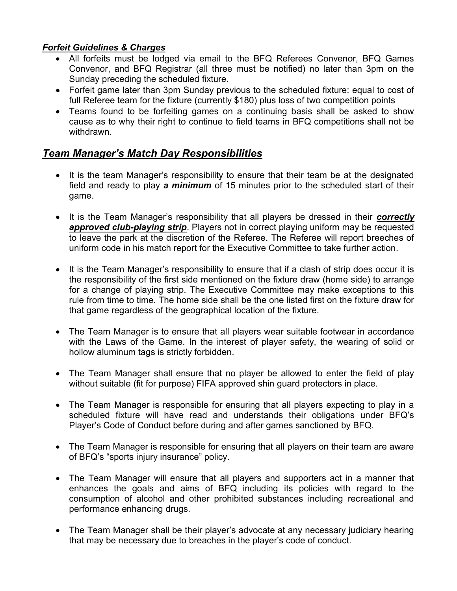# Forfeit Guidelines & Charges

- All forfeits must be lodged via email to the BFQ Referees Convenor, BFQ Games Convenor, and BFQ Registrar (all three must be notified) no later than 3pm on the Sunday preceding the scheduled fixture.
- Forfeit game later than 3pm Sunday previous to the scheduled fixture: equal to cost of full Referee team for the fixture (currently \$180) plus loss of two competition points
- Teams found to be forfeiting games on a continuing basis shall be asked to show cause as to why their right to continue to field teams in BFQ competitions shall not be withdrawn.

# Team Manager's Match Day Responsibilities

- It is the team Manager's responsibility to ensure that their team be at the designated field and ready to play a minimum of 15 minutes prior to the scheduled start of their game.
- It is the Team Manager's responsibility that all players be dressed in their correctly approved club-playing strip. Players not in correct playing uniform may be requested to leave the park at the discretion of the Referee. The Referee will report breeches of uniform code in his match report for the Executive Committee to take further action.
- It is the Team Manager's responsibility to ensure that if a clash of strip does occur it is the responsibility of the first side mentioned on the fixture draw (home side) to arrange for a change of playing strip. The Executive Committee may make exceptions to this rule from time to time. The home side shall be the one listed first on the fixture draw for that game regardless of the geographical location of the fixture.
- The Team Manager is to ensure that all players wear suitable footwear in accordance with the Laws of the Game. In the interest of player safety, the wearing of solid or hollow aluminum tags is strictly forbidden.
- The Team Manager shall ensure that no player be allowed to enter the field of play without suitable (fit for purpose) FIFA approved shin guard protectors in place.
- The Team Manager is responsible for ensuring that all players expecting to play in a scheduled fixture will have read and understands their obligations under BFQ's Player's Code of Conduct before during and after games sanctioned by BFQ.
- The Team Manager is responsible for ensuring that all players on their team are aware of BFQ's "sports injury insurance" policy.
- The Team Manager will ensure that all players and supporters act in a manner that enhances the goals and aims of BFQ including its policies with regard to the consumption of alcohol and other prohibited substances including recreational and performance enhancing drugs.
- The Team Manager shall be their player's advocate at any necessary judiciary hearing that may be necessary due to breaches in the player's code of conduct.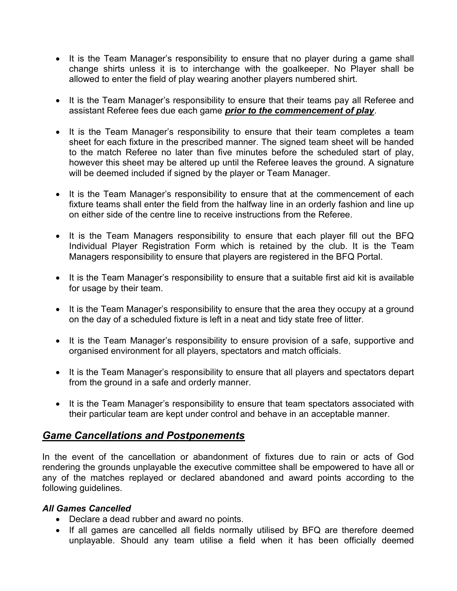- It is the Team Manager's responsibility to ensure that no player during a game shall change shirts unless it is to interchange with the goalkeeper. No Player shall be allowed to enter the field of play wearing another players numbered shirt.
- It is the Team Manager's responsibility to ensure that their teams pay all Referee and assistant Referee fees due each game prior to the commencement of play.
- It is the Team Manager's responsibility to ensure that their team completes a team sheet for each fixture in the prescribed manner. The signed team sheet will be handed to the match Referee no later than five minutes before the scheduled start of play, however this sheet may be altered up until the Referee leaves the ground. A signature will be deemed included if signed by the player or Team Manager.
- It is the Team Manager's responsibility to ensure that at the commencement of each fixture teams shall enter the field from the halfway line in an orderly fashion and line up on either side of the centre line to receive instructions from the Referee.
- It is the Team Managers responsibility to ensure that each player fill out the BFQ Individual Player Registration Form which is retained by the club. It is the Team Managers responsibility to ensure that players are registered in the BFQ Portal.
- It is the Team Manager's responsibility to ensure that a suitable first aid kit is available for usage by their team.
- It is the Team Manager's responsibility to ensure that the area they occupy at a ground on the day of a scheduled fixture is left in a neat and tidy state free of litter.
- It is the Team Manager's responsibility to ensure provision of a safe, supportive and organised environment for all players, spectators and match officials.
- It is the Team Manager's responsibility to ensure that all players and spectators depart from the ground in a safe and orderly manner.
- It is the Team Manager's responsibility to ensure that team spectators associated with their particular team are kept under control and behave in an acceptable manner.

# Game Cancellations and Postponements

In the event of the cancellation or abandonment of fixtures due to rain or acts of God rendering the grounds unplayable the executive committee shall be empowered to have all or any of the matches replayed or declared abandoned and award points according to the following guidelines.

#### All Games Cancelled

- Declare a dead rubber and award no points.
- If all games are cancelled all fields normally utilised by BFQ are therefore deemed unplayable. Should any team utilise a field when it has been officially deemed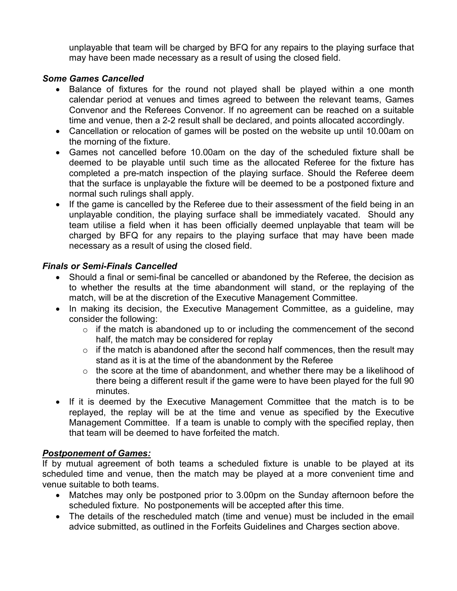unplayable that team will be charged by BFQ for any repairs to the playing surface that may have been made necessary as a result of using the closed field.

#### Some Games Cancelled

- Balance of fixtures for the round not played shall be played within a one month calendar period at venues and times agreed to between the relevant teams, Games Convenor and the Referees Convenor. If no agreement can be reached on a suitable time and venue, then a 2-2 result shall be declared, and points allocated accordingly.
- Cancellation or relocation of games will be posted on the website up until 10.00am on the morning of the fixture.
- Games not cancelled before 10.00am on the day of the scheduled fixture shall be deemed to be playable until such time as the allocated Referee for the fixture has completed a pre-match inspection of the playing surface. Should the Referee deem that the surface is unplayable the fixture will be deemed to be a postponed fixture and normal such rulings shall apply.
- If the game is cancelled by the Referee due to their assessment of the field being in an unplayable condition, the playing surface shall be immediately vacated. Should any team utilise a field when it has been officially deemed unplayable that team will be charged by BFQ for any repairs to the playing surface that may have been made necessary as a result of using the closed field.

# Finals or Semi-Finals Cancelled

- Should a final or semi-final be cancelled or abandoned by the Referee, the decision as to whether the results at the time abandonment will stand, or the replaying of the match, will be at the discretion of the Executive Management Committee.
- In making its decision, the Executive Management Committee, as a guideline, may consider the following:
	- $\circ$  if the match is abandoned up to or including the commencement of the second half, the match may be considered for replay
	- $\circ$  if the match is abandoned after the second half commences, then the result may stand as it is at the time of the abandonment by the Referee
	- $\circ$  the score at the time of abandonment, and whether there may be a likelihood of there being a different result if the game were to have been played for the full 90 minutes.
- If it is deemed by the Executive Management Committee that the match is to be replayed, the replay will be at the time and venue as specified by the Executive Management Committee. If a team is unable to comply with the specified replay, then that team will be deemed to have forfeited the match.

#### Postponement of Games:

If by mutual agreement of both teams a scheduled fixture is unable to be played at its scheduled time and venue, then the match may be played at a more convenient time and venue suitable to both teams.

- Matches may only be postponed prior to 3.00pm on the Sunday afternoon before the scheduled fixture. No postponements will be accepted after this time.
- The details of the rescheduled match (time and venue) must be included in the email advice submitted, as outlined in the Forfeits Guidelines and Charges section above.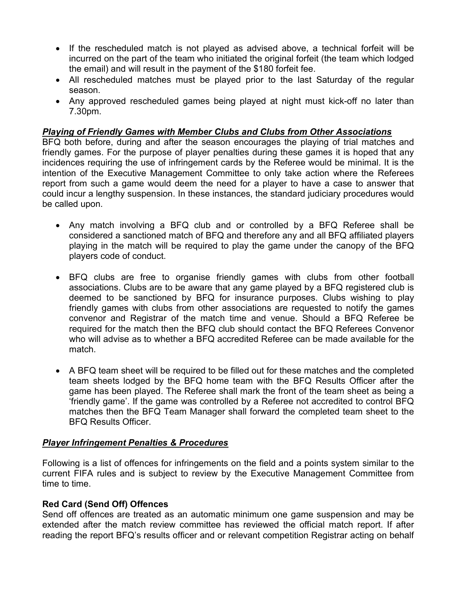- If the rescheduled match is not played as advised above, a technical forfeit will be incurred on the part of the team who initiated the original forfeit (the team which lodged the email) and will result in the payment of the \$180 forfeit fee.
- All rescheduled matches must be played prior to the last Saturday of the regular season.
- Any approved rescheduled games being played at night must kick-off no later than 7.30pm.

#### Playing of Friendly Games with Member Clubs and Clubs from Other Associations

BFQ both before, during and after the season encourages the playing of trial matches and friendly games. For the purpose of player penalties during these games it is hoped that any incidences requiring the use of infringement cards by the Referee would be minimal. It is the intention of the Executive Management Committee to only take action where the Referees report from such a game would deem the need for a player to have a case to answer that could incur a lengthy suspension. In these instances, the standard judiciary procedures would be called upon.

- Any match involving a BFQ club and or controlled by a BFQ Referee shall be considered a sanctioned match of BFQ and therefore any and all BFQ affiliated players playing in the match will be required to play the game under the canopy of the BFQ players code of conduct.
- BFQ clubs are free to organise friendly games with clubs from other football associations. Clubs are to be aware that any game played by a BFQ registered club is deemed to be sanctioned by BFQ for insurance purposes. Clubs wishing to play friendly games with clubs from other associations are requested to notify the games convenor and Registrar of the match time and venue. Should a BFQ Referee be required for the match then the BFQ club should contact the BFQ Referees Convenor who will advise as to whether a BFQ accredited Referee can be made available for the match.
- A BFQ team sheet will be required to be filled out for these matches and the completed team sheets lodged by the BFQ home team with the BFQ Results Officer after the game has been played. The Referee shall mark the front of the team sheet as being a 'friendly game'. If the game was controlled by a Referee not accredited to control BFQ matches then the BFQ Team Manager shall forward the completed team sheet to the BFQ Results Officer.

#### Player Infringement Penalties & Procedures

Following is a list of offences for infringements on the field and a points system similar to the current FIFA rules and is subject to review by the Executive Management Committee from time to time.

#### Red Card (Send Off) Offences

Send off offences are treated as an automatic minimum one game suspension and may be extended after the match review committee has reviewed the official match report. If after reading the report BFQ's results officer and or relevant competition Registrar acting on behalf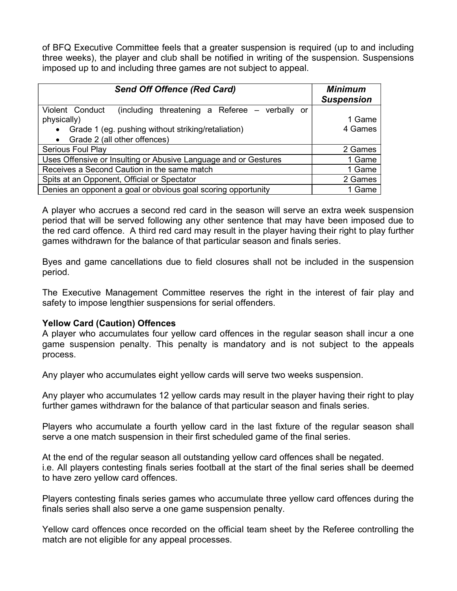of BFQ Executive Committee feels that a greater suspension is required (up to and including three weeks), the player and club shall be notified in writing of the suspension. Suspensions imposed up to and including three games are not subject to appeal.

| <b>Send Off Offence (Red Card)</b>                                | <b>Minimum</b><br><b>Suspension</b> |
|-------------------------------------------------------------------|-------------------------------------|
| Violent Conduct<br>(including threatening a Referee – verbally or |                                     |
| physically)                                                       | 1 Game                              |
| Grade 1 (eg. pushing without striking/retaliation)<br>$\bullet$   | 4 Games                             |
| Grade 2 (all other offences)                                      |                                     |
| <b>Serious Foul Play</b>                                          | 2 Games                             |
| Uses Offensive or Insulting or Abusive Language and or Gestures   | 1 Game                              |
| Receives a Second Caution in the same match                       | 1 Game                              |
| Spits at an Opponent, Official or Spectator                       | 2 Games                             |
| Denies an opponent a goal or obvious goal scoring opportunity     | 1 Game                              |

A player who accrues a second red card in the season will serve an extra week suspension period that will be served following any other sentence that may have been imposed due to the red card offence. A third red card may result in the player having their right to play further games withdrawn for the balance of that particular season and finals series.

Byes and game cancellations due to field closures shall not be included in the suspension period.

The Executive Management Committee reserves the right in the interest of fair play and safety to impose lengthier suspensions for serial offenders.

#### Yellow Card (Caution) Offences

A player who accumulates four yellow card offences in the regular season shall incur a one game suspension penalty. This penalty is mandatory and is not subject to the appeals process.

Any player who accumulates eight yellow cards will serve two weeks suspension.

Any player who accumulates 12 yellow cards may result in the player having their right to play further games withdrawn for the balance of that particular season and finals series.

Players who accumulate a fourth yellow card in the last fixture of the regular season shall serve a one match suspension in their first scheduled game of the final series.

At the end of the regular season all outstanding yellow card offences shall be negated. i.e. All players contesting finals series football at the start of the final series shall be deemed to have zero yellow card offences.

Players contesting finals series games who accumulate three yellow card offences during the finals series shall also serve a one game suspension penalty.

Yellow card offences once recorded on the official team sheet by the Referee controlling the match are not eligible for any appeal processes.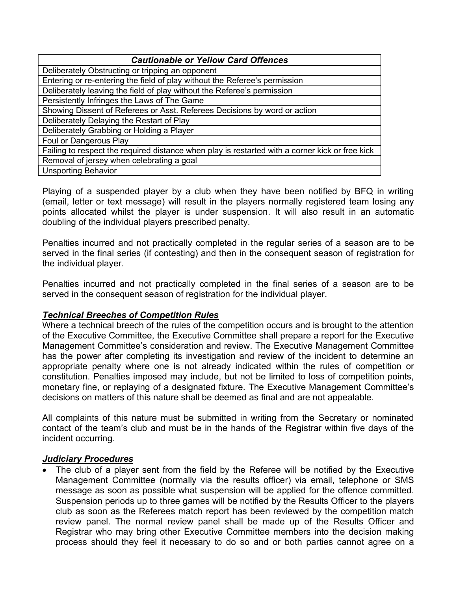| <b>Cautionable or Yellow Card Offences</b>                                                      |  |  |  |  |
|-------------------------------------------------------------------------------------------------|--|--|--|--|
| Deliberately Obstructing or tripping an opponent                                                |  |  |  |  |
| Entering or re-entering the field of play without the Referee's permission                      |  |  |  |  |
| Deliberately leaving the field of play without the Referee's permission                         |  |  |  |  |
| Persistently Infringes the Laws of The Game                                                     |  |  |  |  |
| Showing Dissent of Referees or Asst. Referees Decisions by word or action                       |  |  |  |  |
| Deliberately Delaying the Restart of Play                                                       |  |  |  |  |
| Deliberately Grabbing or Holding a Player                                                       |  |  |  |  |
| Foul or Dangerous Play                                                                          |  |  |  |  |
| Failing to respect the required distance when play is restarted with a corner kick or free kick |  |  |  |  |
| Removal of jersey when celebrating a goal                                                       |  |  |  |  |
| <b>Unsporting Behavior</b>                                                                      |  |  |  |  |

Playing of a suspended player by a club when they have been notified by BFQ in writing (email, letter or text message) will result in the players normally registered team losing any points allocated whilst the player is under suspension. It will also result in an automatic doubling of the individual players prescribed penalty.

Penalties incurred and not practically completed in the regular series of a season are to be served in the final series (if contesting) and then in the consequent season of registration for the individual player.

Penalties incurred and not practically completed in the final series of a season are to be served in the consequent season of registration for the individual player.

#### Technical Breeches of Competition Rules

Where a technical breech of the rules of the competition occurs and is brought to the attention of the Executive Committee, the Executive Committee shall prepare a report for the Executive Management Committee's consideration and review. The Executive Management Committee has the power after completing its investigation and review of the incident to determine an appropriate penalty where one is not already indicated within the rules of competition or constitution. Penalties imposed may include, but not be limited to loss of competition points, monetary fine, or replaying of a designated fixture. The Executive Management Committee's decisions on matters of this nature shall be deemed as final and are not appealable.

All complaints of this nature must be submitted in writing from the Secretary or nominated contact of the team's club and must be in the hands of the Registrar within five days of the incident occurring.

#### **Judiciary Procedures**

 The club of a player sent from the field by the Referee will be notified by the Executive Management Committee (normally via the results officer) via email, telephone or SMS message as soon as possible what suspension will be applied for the offence committed. Suspension periods up to three games will be notified by the Results Officer to the players club as soon as the Referees match report has been reviewed by the competition match review panel. The normal review panel shall be made up of the Results Officer and Registrar who may bring other Executive Committee members into the decision making process should they feel it necessary to do so and or both parties cannot agree on a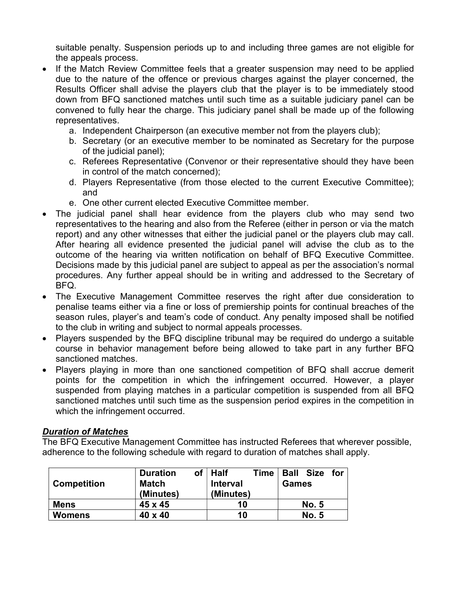suitable penalty. Suspension periods up to and including three games are not eligible for the appeals process.

- If the Match Review Committee feels that a greater suspension may need to be applied due to the nature of the offence or previous charges against the player concerned, the Results Officer shall advise the players club that the player is to be immediately stood down from BFQ sanctioned matches until such time as a suitable judiciary panel can be convened to fully hear the charge. This judiciary panel shall be made up of the following representatives.
	- a. Independent Chairperson (an executive member not from the players club);
	- b. Secretary (or an executive member to be nominated as Secretary for the purpose of the judicial panel);
	- c. Referees Representative (Convenor or their representative should they have been in control of the match concerned);
	- d. Players Representative (from those elected to the current Executive Committee); and
	- e. One other current elected Executive Committee member.
- The judicial panel shall hear evidence from the players club who may send two representatives to the hearing and also from the Referee (either in person or via the match report) and any other witnesses that either the judicial panel or the players club may call. After hearing all evidence presented the judicial panel will advise the club as to the outcome of the hearing via written notification on behalf of BFQ Executive Committee. Decisions made by this judicial panel are subject to appeal as per the association's normal procedures. Any further appeal should be in writing and addressed to the Secretary of BFQ.
- The Executive Management Committee reserves the right after due consideration to penalise teams either via a fine or loss of premiership points for continual breaches of the season rules, player's and team's code of conduct. Any penalty imposed shall be notified to the club in writing and subject to normal appeals processes.
- Players suspended by the BFQ discipline tribunal may be required do undergo a suitable course in behavior management before being allowed to take part in any further BFQ sanctioned matches.
- Players playing in more than one sanctioned competition of BFQ shall accrue demerit points for the competition in which the infringement occurred. However, a player suspended from playing matches in a particular competition is suspended from all BFQ sanctioned matches until such time as the suspension period expires in the competition in which the infringement occurred.

#### Duration of Matches

The BFQ Executive Management Committee has instructed Referees that wherever possible, adherence to the following schedule with regard to duration of matches shall apply.

| <b>Competition</b> | οf<br><b>Duration</b><br>Match<br>(Minutes) | <b>Half</b><br>Time<br><b>Interval</b><br>(Minutes) | <b>Size</b><br><b>Ball</b><br>for<br><b>Games</b> |
|--------------------|---------------------------------------------|-----------------------------------------------------|---------------------------------------------------|
| <b>Mens</b>        | 45 x 45                                     | 10                                                  | <b>No. 5</b>                                      |
| <b>Womens</b>      | 40 x 40                                     | 10                                                  | <b>No. 5</b>                                      |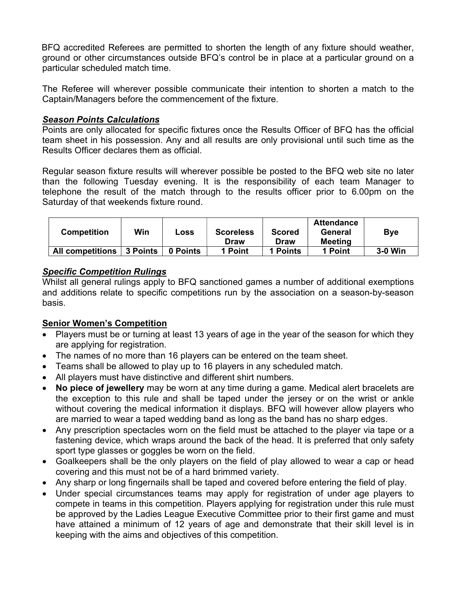BFQ accredited Referees are permitted to shorten the length of any fixture should weather, ground or other circumstances outside BFQ's control be in place at a particular ground on a particular scheduled match time.

The Referee will wherever possible communicate their intention to shorten a match to the Captain/Managers before the commencement of the fixture.

#### Season Points Calculations

Points are only allocated for specific fixtures once the Results Officer of BFQ has the official team sheet in his possession. Any and all results are only provisional until such time as the Results Officer declares them as official.

Regular season fixture results will wherever possible be posted to the BFQ web site no later than the following Tuesday evening. It is the responsibility of each team Manager to telephone the result of the match through to the results officer prior to 6.00pm on the Saturday of that weekends fixture round.

| <b>Competition</b>      | Win      | Loss     | <b>Scoreless</b><br>Draw | <b>Scored</b><br>Draw | <b>Attendance</b><br>General<br>Meeting | <b>Bye</b> |
|-------------------------|----------|----------|--------------------------|-----------------------|-----------------------------------------|------------|
| <b>All competitions</b> | 3 Points | 0 Points | 1 Point                  | <b>Points</b>         | 1 Point                                 | 3-0 Win    |

#### Specific Competition Rulings

Whilst all general rulings apply to BFQ sanctioned games a number of additional exemptions and additions relate to specific competitions run by the association on a season-by-season basis.

# Senior Women's Competition

- Players must be or turning at least 13 years of age in the year of the season for which they are applying for registration.
- The names of no more than 16 players can be entered on the team sheet.
- Teams shall be allowed to play up to 16 players in any scheduled match.
- All players must have distinctive and different shirt numbers.
- No piece of jewellery may be worn at any time during a game. Medical alert bracelets are the exception to this rule and shall be taped under the jersey or on the wrist or ankle without covering the medical information it displays. BFQ will however allow players who are married to wear a taped wedding band as long as the band has no sharp edges.
- Any prescription spectacles worn on the field must be attached to the player via tape or a fastening device, which wraps around the back of the head. It is preferred that only safety sport type glasses or goggles be worn on the field.
- Goalkeepers shall be the only players on the field of play allowed to wear a cap or head covering and this must not be of a hard brimmed variety.
- Any sharp or long fingernails shall be taped and covered before entering the field of play.
- Under special circumstances teams may apply for registration of under age players to compete in teams in this competition. Players applying for registration under this rule must be approved by the Ladies League Executive Committee prior to their first game and must have attained a minimum of 12 years of age and demonstrate that their skill level is in keeping with the aims and objectives of this competition.